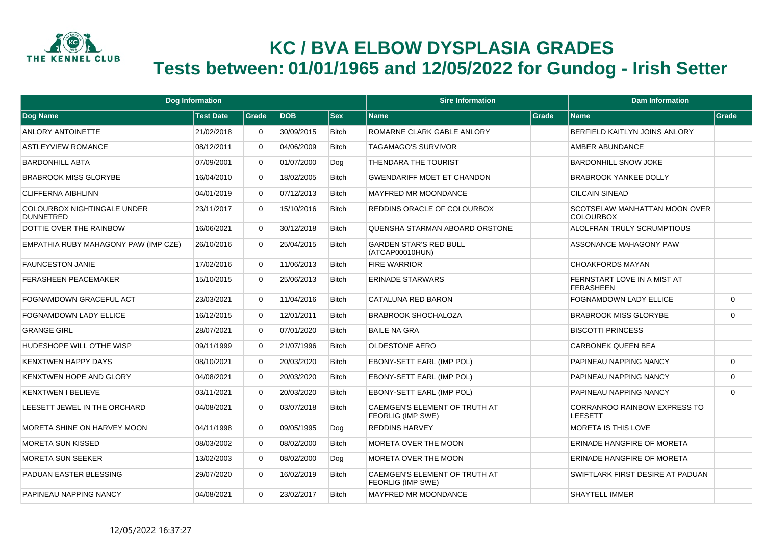

## **KC / BVA ELBOW DYSPLASIA GRADES Tests between: 01/01/1965 and 12/05/2022 for Gundog - Irish Setter**

| <b>Dog Information</b>                                 |                  |             |            | <b>Sire Information</b> |                                                    | <b>Dam Information</b> |                                                   |          |
|--------------------------------------------------------|------------------|-------------|------------|-------------------------|----------------------------------------------------|------------------------|---------------------------------------------------|----------|
| Dog Name                                               | <b>Test Date</b> | Grade       | <b>DOB</b> | <b>Sex</b>              | <b>Name</b>                                        | Grade                  | <b>Name</b>                                       | Grade    |
| ANLORY ANTOINETTE                                      | 21/02/2018       | $\Omega$    | 30/09/2015 | <b>Bitch</b>            | ROMARNE CLARK GABLE ANLORY                         |                        | BERFIELD KAITLYN JOINS ANLORY                     |          |
| <b>ASTLEYVIEW ROMANCE</b>                              | 08/12/2011       | $\Omega$    | 04/06/2009 | <b>Bitch</b>            | <b>TAGAMAGO'S SURVIVOR</b>                         |                        | AMBER ABUNDANCE                                   |          |
| <b>BARDONHILL ABTA</b>                                 | 07/09/2001       | $\Omega$    | 01/07/2000 | Dog                     | THENDARA THE TOURIST                               |                        | <b>BARDONHILL SNOW JOKE</b>                       |          |
| <b>BRABROOK MISS GLORYBE</b>                           | 16/04/2010       | $\Omega$    | 18/02/2005 | <b>Bitch</b>            | <b>GWENDARIFF MOET ET CHANDON</b>                  |                        | <b>BRABROOK YANKEE DOLLY</b>                      |          |
| <b>CLIFFERNA AIBHLINN</b>                              | 04/01/2019       | $\Omega$    | 07/12/2013 | <b>Bitch</b>            | <b>MAYFRED MR MOONDANCE</b>                        |                        | <b>CILCAIN SINEAD</b>                             |          |
| <b>COLOURBOX NIGHTINGALE UNDER</b><br><b>DUNNETRED</b> | 23/11/2017       | $\Omega$    | 15/10/2016 | <b>Bitch</b>            | REDDINS ORACLE OF COLOURBOX                        |                        | SCOTSELAW MANHATTAN MOON OVER<br><b>COLOURBOX</b> |          |
| DOTTIE OVER THE RAINBOW                                | 16/06/2021       | $\Omega$    | 30/12/2018 | <b>Bitch</b>            | QUENSHA STARMAN ABOARD ORSTONE                     |                        | ALOLFRAN TRULY SCRUMPTIOUS                        |          |
| EMPATHIA RUBY MAHAGONY PAW (IMP CZE)                   | 26/10/2016       | $\Omega$    | 25/04/2015 | <b>Bitch</b>            | <b>GARDEN STAR'S RED BULL</b><br>(ATCAP00010HUN)   |                        | ASSONANCE MAHAGONY PAW                            |          |
| <b>FAUNCESTON JANIE</b>                                | 17/02/2016       | $\Omega$    | 11/06/2013 | <b>Bitch</b>            | <b>FIRE WARRIOR</b>                                |                        | <b>CHOAKFORDS MAYAN</b>                           |          |
| <b>FERASHEEN PEACEMAKER</b>                            | 15/10/2015       | $\mathbf 0$ | 25/06/2013 | <b>Bitch</b>            | <b>ERINADE STARWARS</b>                            |                        | FERNSTART LOVE IN A MIST AT<br><b>FERASHEEN</b>   |          |
| FOGNAMDOWN GRACEFUL ACT                                | 23/03/2021       | $\Omega$    | 11/04/2016 | <b>Bitch</b>            | <b>CATALUNA RED BARON</b>                          |                        | <b>FOGNAMDOWN LADY ELLICE</b>                     | $\Omega$ |
| FOGNAMDOWN LADY ELLICE                                 | 16/12/2015       | $\Omega$    | 12/01/2011 | <b>Bitch</b>            | <b>BRABROOK SHOCHALOZA</b>                         |                        | <b>BRABROOK MISS GLORYBE</b>                      | $\Omega$ |
| <b>GRANGE GIRL</b>                                     | 28/07/2021       | $\mathbf 0$ | 07/01/2020 | <b>Bitch</b>            | <b>BAILE NA GRA</b>                                |                        | <b>BISCOTTI PRINCESS</b>                          |          |
| HUDESHOPE WILL O'THE WISP                              | 09/11/1999       | $\Omega$    | 21/07/1996 | <b>Bitch</b>            | OLDESTONE AERO                                     |                        | <b>CARBONEK QUEEN BEA</b>                         |          |
| <b>KENXTWEN HAPPY DAYS</b>                             | 08/10/2021       | $\mathbf 0$ | 20/03/2020 | <b>Bitch</b>            | <b>EBONY-SETT EARL (IMP POL)</b>                   |                        | PAPINEAU NAPPING NANCY                            | $\Omega$ |
| <b>KENXTWEN HOPE AND GLORY</b>                         | 04/08/2021       | $\mathbf 0$ | 20/03/2020 | Bitch                   | EBONY-SETT EARL (IMP POL)                          |                        | PAPINEAU NAPPING NANCY                            | $\Omega$ |
| <b>KENXTWEN I BELIEVE</b>                              | 03/11/2021       | $\mathbf 0$ | 20/03/2020 | Bitch                   | <b>EBONY-SETT EARL (IMP POL)</b>                   |                        | PAPINEAU NAPPING NANCY                            | $\Omega$ |
| LEESETT JEWEL IN THE ORCHARD                           | 04/08/2021       | $\Omega$    | 03/07/2018 | Bitch                   | CAEMGEN'S ELEMENT OF TRUTH AT<br>FEORLIG (IMP SWE) |                        | CORRANROO RAINBOW EXPRESS TO<br><b>LEESETT</b>    |          |
| MORETA SHINE ON HARVEY MOON                            | 04/11/1998       | $\mathbf 0$ | 09/05/1995 | Dog                     | <b>REDDINS HARVEY</b>                              |                        | MORETA IS THIS LOVE                               |          |
| <b>MORETA SUN KISSED</b>                               | 08/03/2002       | $\mathbf 0$ | 08/02/2000 | <b>Bitch</b>            | MORETA OVER THE MOON                               |                        | ERINADE HANGFIRE OF MORETA                        |          |
| <b>MORETA SUN SEEKER</b>                               | 13/02/2003       | $\mathbf 0$ | 08/02/2000 | Dog                     | MORETA OVER THE MOON                               |                        | ERINADE HANGFIRE OF MORETA                        |          |
| PADUAN EASTER BLESSING                                 | 29/07/2020       | $\mathbf 0$ | 16/02/2019 | Bitch                   | CAEMGEN'S ELEMENT OF TRUTH AT<br>FEORLIG (IMP SWE) |                        | SWIFTLARK FIRST DESIRE AT PADUAN                  |          |
| PAPINEAU NAPPING NANCY                                 | 04/08/2021       | $\Omega$    | 23/02/2017 | <b>Bitch</b>            | <b>MAYFRED MR MOONDANCE</b>                        |                        | <b>SHAYTELL IMMER</b>                             |          |